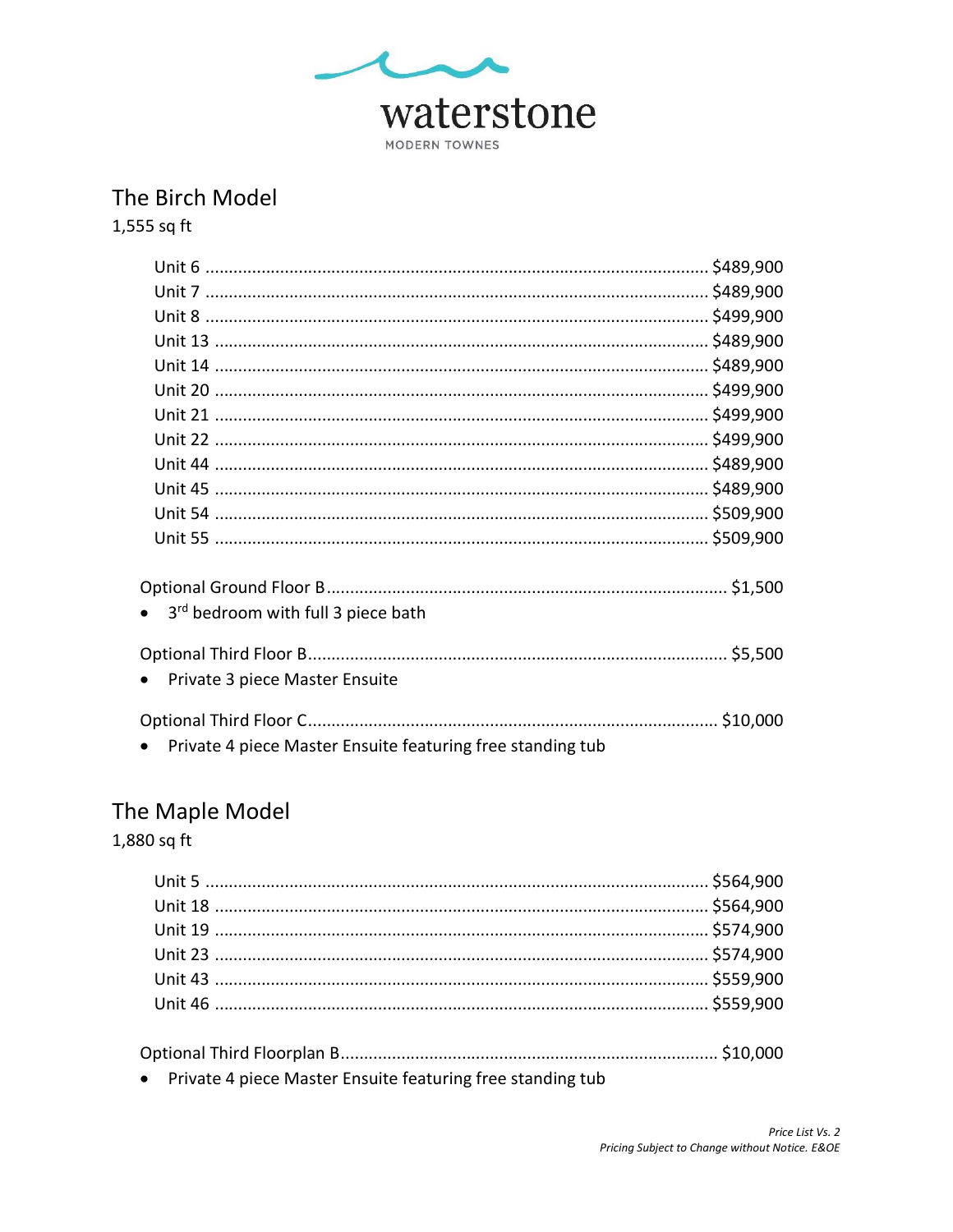

## The Birch Model

1,555 sq ft

| 3rd bedroom with full 3 piece bath                         |  |
|------------------------------------------------------------|--|
|                                                            |  |
|                                                            |  |
| Private 3 piece Master Ensuite                             |  |
|                                                            |  |
|                                                            |  |
| Private 4 piece Master Ensuite featuring free standing tub |  |

# The Maple Model

1,880 sq ft

| . The contract of the contract of the contract of the contract of the contract of the contract of the contract of the contract of the contract of the contract of the contract of the contract of the contract of the contrac |  |
|-------------------------------------------------------------------------------------------------------------------------------------------------------------------------------------------------------------------------------|--|

• Private 4 piece Master Ensuite featuring free standing tub